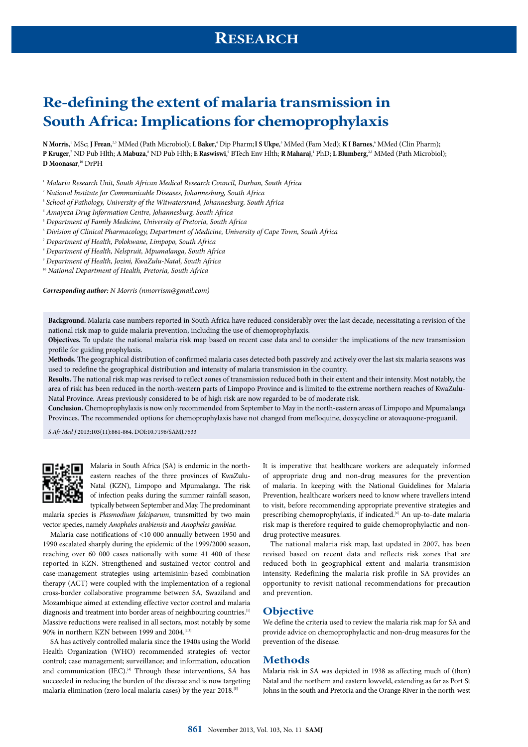# **Re-defning the extent of malaria transmission in South Africa: Implications for chemoprophylaxis**

 $N$  Morris,' MSc; **J** Frean,<sup>2,3</sup> MMed (Path Microbiol); **L Baker**,' Dip Pharm; **I S Ukpe**,' MMed (Fam Med); **K I Barnes**,' MMed (Clin Pharm); **P Kruger**,' ND Pub Hlth; A Mabuza,<sup>8</sup> ND Pub Hlth; E Raswiswi,<sup>9</sup> BTech Env Hlth; R Maharaj,<sup>1</sup> PhD; L Blumberg,<sup>23</sup> MMed (Path Microbiol); **D Moonasar**, 10 DrPH

<sup>1</sup> Malaria Research Unit, South African Medical Research Council, Durban, South Africa

 $^{\circ}$  National Institute for Communicable Diseases, Johannesburg, South Africa

<sup>3</sup> School of Pathology, University of the Witwatersrand, Johannesburg, South Africa

<sup>4</sup> Amayeza Drug Information Centre, Johannesburg, South Africa

<sup>5</sup> Department of Family Medicine, University of Pretoria, South Africa

<sup>6</sup> Division of Clinical Pharmacology, Department of Medicine, University of Cape Town, South Africa

<sup>7</sup> Department of Health, Polokwane, Limpopo, South Africa

<sup>8</sup> Department of Health, Nelspruit, Mpumalanga, South Africa

<sup>9</sup> Department of Health, Jozini, KwaZulu-Natal, South Africa

<sup>10</sup> National Department of Health, Pretoria, South Africa

**Corresponding author:** N Morris [\(nmorrism@gmail.com\)](mailto:nmorrism@gmail.com)

**Background.** Malaria case numbers reported in South Africa have reduced considerably over the last decade, necessitating a revision of the national risk map to guide malaria prevention, including the use of chemoprophylaxis.

**Objectives.** To update the national malaria risk map based on recent case data and to consider the implications of the new transmission profile for guiding prophylaxis.

**Methods.** The geographical distribution of confirmed malaria cases detected both passively and actively over the last six malaria seasons was used to redefine the geographical distribution and intensity of malaria transmission in the country.

**Results.** The national risk map was revised to reflect zones of transmission reduced both in their extent and their intensity. Most notably, the area of risk has been reduced in the north-western parts of Limpopo Province and is limited to the extreme northern reaches of KwaZulu-Natal Province. Areas previously considered to be of high risk are now regarded to be of moderate risk.

**Conclusion.** Chemoprophylaxis is now only recommended from September to May in the north-eastern areas of Limpopo and Mpumalanga Provinces. The recommended options for chemoprophylaxis have not changed from mefloquine, doxycycline or atovaquone-proguanil.

S Afr Med J 2013;103(11):861-864. DOI:10.7196/SAMJ.7533



Malaria in South Africa (SA) is endemic in the northeastern reaches of the three provinces of KwaZulu-Natal (KZN), Limpopo and Mpumalanga. The risk of infection peaks during the summer rainfall season, typically between September and May. The predominant

malaria species is Plasmodium falciparum, transmitted by two main vector species, namely Anopheles arabiensis and Anopheles gambiae.

Malaria case notifications of <10 000 annually between 1950 and 1990 escalated sharply during the epidemic of the 1999/2000 season, reaching over 60 000 cases nationally with some 41 400 of these reported in KZN. Strengthened and sustained vector control and case-management strategies using artemisinin-based combination therapy (ACT) were coupled with the implementation of a regional cross-border collaborative programme between SA, Swaziland and Mozambique aimed at extending effective vector control and malaria diagnosis and treatment into border areas of neighbouring countries.<sup>[1]</sup> Massive reductions were realised in all sectors, most notably by some 90% in northern KZN between 1999 and 2004.<sup>[2,3]</sup>

SA has actively controlled malaria since the 1940s using the World Health Organization (WHO) recommended strategies of: vector control; case management; surveillance; and information, education and communication (IEC).<sup>[4]</sup> Through these interventions, SA has succeeded in reducing the burden of the disease and is now targeting malaria elimination (zero local malaria cases) by the year 2018.[5]

It is imperative that healthcare workers are adequately informed of appropriate drug and non-drug measures for the prevention of malaria. In keeping with the National Guidelines for Malaria Prevention, healthcare workers need to know where travellers intend to visit, before recommending appropriate preventive strategies and prescribing chemoprophylaxis, if indicated.<sup>[6]</sup> An up-to-date malaria risk map is therefore required to guide chemoprophylactic and nondrug protective measures.

The national malaria risk map, last updated in 2007, has been revised based on recent data and reflects risk zones that are reduced both in geographical extent and malaria transmision intensity. Redefining the malaria risk profile in SA provides an opportunity to revisit national recommendations for precaution and prevention.

#### **Objective**

We define the criteria used to review the malaria risk map for SA and provide advice on chemoprophylactic and non-drug measures for the prevention of the disease.

### **Methods**

Malaria risk in SA was depicted in 1938 as affecting much of (then) Natal and the northern and eastern lowveld, extending as far as Port St Johns in the south and Pretoria and the Orange River in the north-west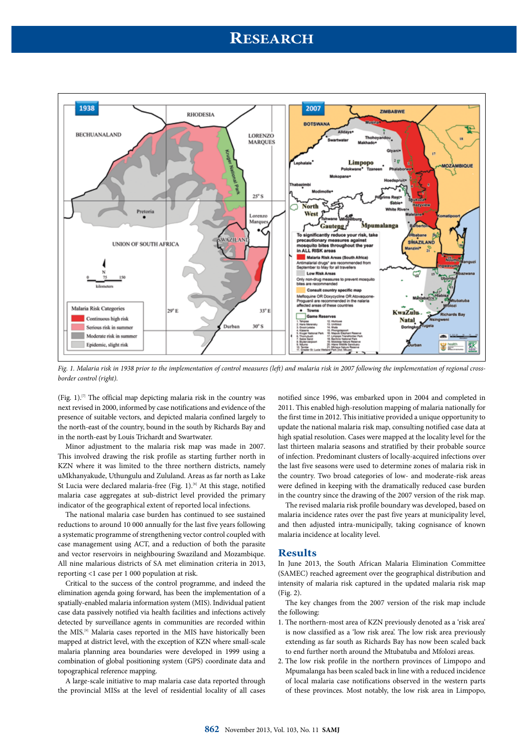## **RESEARCH**



Fig. 1. Malaria risk in 1938 prior to the implementation of control measures (left) and malaria risk in 2007 following the implementation of regional crossborder control (right).

(Fig. 1). $[7]$  The official map depicting malaria risk in the country was next revised in 2000, informed by case notifications and evidence of the presence of suitable vectors, and depicted malaria confined largely to the north-east of the country, bound in the south by Richards Bay and in the north-east by Louis Trichardt and Swartwater.

Minor adjustment to the malaria risk map was made in 2007. This involved drawing the risk profile as starting further north in KZN where it was limited to the three northern districts, namely uMkhanyakude, Uthungulu and Zululand. Areas as far north as Lake St Lucia were declared malaria-free (Fig. 1).<sup>[8]</sup> At this stage, notified malaria case aggregates at sub-district level provided the primary indicator of the geographical extent of reported local infections.

The national malaria case burden has continued to see sustained reductions to around 10 000 annually for the last five years following a systematic programme of strengthening vector control coupled with case management using ACT, and a reduction of both the parasite and vector reservoirs in neighbouring Swaziland and Mozambique. All nine malarious districts of SA met elimination criteria in 2013, reporting <1 case per 1 000 population at risk.

Critical to the success of the control programme, and indeed the elimination agenda going forward, has been the implementation of a spatially-enabled malaria information system (MIS). Individual patient case data passively notified via health facilities and infections actively detected by surveillance agents in communities are recorded within the MIS.[9] Malaria cases reported in the MIS have historically been mapped at district level, with the exception of KZN where small-scale malaria planning area boundaries were developed in 1999 using a combination of global positioning system (GPS) coordinate data and topographical reference mapping.

A large-scale initiative to map malaria case data reported through the provincial MISs at the level of residential locality of all cases notified since 1996, was embarked upon in 2004 and completed in 2011. This enabled high-resolution mapping of malaria nationally for the first time in 2012. This initiative provided a unique opportunity to update the national malaria risk map, consulting notified case data at high spatial resolution. Cases were mapped at the locality level for the last thirteen malaria seasons and stratified by their probable source of infection. Predominant clusters of locally-acquired infections over the last five seasons were used to determine zones of malaria risk in the country. Two broad categories of low- and moderate-risk areas were defined in keeping with the dramatically reduced case burden in the country since the drawing of the 2007 version of the risk map.

The revised malaria risk profile boundary was developed, based on malaria incidence rates over the past five years at municipality level, and then adjusted intra-municipally, taking cognisance of known malaria incidence at locality level.

### **Results**

In June 2013, the South African Malaria Elimination Committee (SAMEC) reached agreement over the geographical distribution and intensity of malaria risk captured in the updated malaria risk map (Fig. 2).

The key changes from the 2007 version of the risk map include the following:

- 1. The northern-most area of KZN previously denoted as a 'risk area' is now classified as a 'low risk area'. The low risk area previously extending as far south as Richards Bay has now been scaled back to end further north around the Mtubatuba and Mfolozi areas.
- 2. The low risk profile in the northern provinces of Limpopo and Mpumalanga has been scaled back in line with a reduced incidence of local malaria case notifications observed in the western parts of these provinces. Most notably, the low risk area in Limpopo,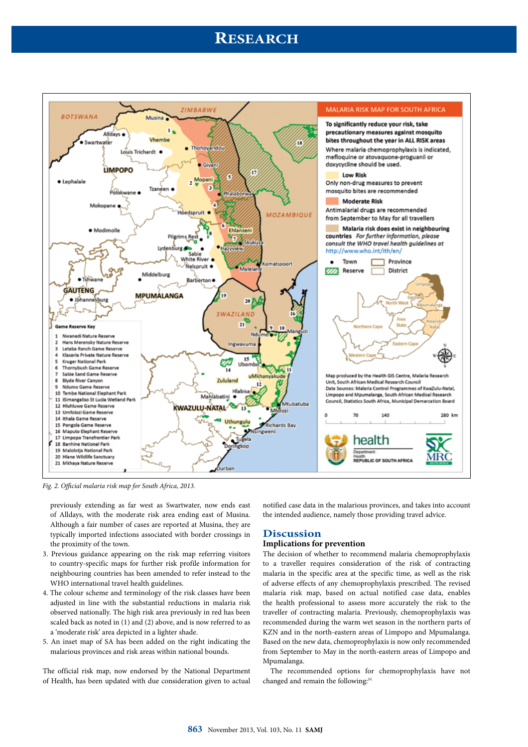# **RESEARCH**



Fig. 2. Official malaria risk map for South Africa, 2013.

previously extending as far west as Swartwater, now ends east of Alldays, with the moderate risk area ending east of Musina. Although a fair number of cases are reported at Musina, they are typically imported infections associated with border crossings in the proximity of the town.

- 3. Previous guidance appearing on the risk map referring visitors to country-specific maps for further risk profile information for neighbouring countries has been amended to refer instead to the WHO international travel health guidelines.
- 4. The colour scheme and terminology of the risk classes have been adjusted in line with the substantial reductions in malaria risk observed nationally. The high risk area previously in red has been scaled back as noted in (1) and (2) above, and is now referred to as a 'moderate risk' area depicted in a lighter shade.
- 5. An inset map of SA has been added on the right indicating the malarious provinces and risk areas within national bounds.

The official risk map, now endorsed by the National Department of Health, has been updated with due consideration given to actual notified case data in the malarious provinces, and takes into account the intended audience, namely those providing travel advice.

### **Discussion**

### **Implications for prevention**

The decision of whether to recommend malaria chemoprophylaxis to a traveller requires consideration of the risk of contracting malaria in the specific area at the specific time, as well as the risk of adverse effects of any chemoprophylaxis prescribed. The revised malaria risk map, based on actual notified case data, enables the health professional to assess more accurately the risk to the traveller of contracting malaria. Previously, chemoprophylaxis was recommended during the warm wet season in the northern parts of KZN and in the north-eastern areas of Limpopo and Mpumalanga. Based on the new data, chemoprophylaxis is now only recommended from September to May in the north-eastern areas of Limpopo and Mpumalanga.

The recommended options for chemoprophylaxis have not changed and remain the following:[6]